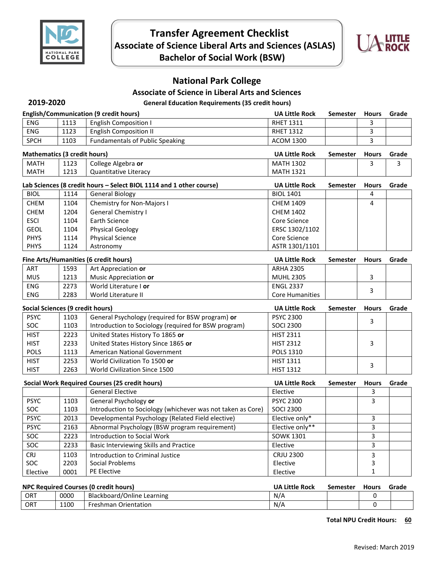

**Transfer Agreement Checklist Associate of Science Liberal Arts and Sciences (ASLAS) Bachelor of Social Work (BSW)**



# **National Park College**

**Associate of Science in Liberal Arts and Sciences**

**2019-2020 General Education Requirements (35 credit hours)**

| <b>English/Communication (9 credit hours)</b> |      |                                        | <b>UA Little Rock</b> | Semester | <b>Hours</b> | Grade       |
|-----------------------------------------------|------|----------------------------------------|-----------------------|----------|--------------|-------------|
| <b>ENG</b>                                    | 1113 | English Composition I                  | RHET 1311             |          |              |             |
| <b>ENG</b>                                    | 1123 | English Composition II                 | RHET 1312             |          |              |             |
| <b>SPCH</b>                                   | 1103 | <b>Fundamentals of Public Speaking</b> | ACOM 1300             |          |              |             |
| Mathematics (3 credit hours)                  |      |                                        | 11A Little Rock       | Semester |              | Hours Grade |

|             |                 |                       | <b>UA LILLIL INULIN</b> | <b>JUILLJIU</b> | <br><b>Pranc</b> |
|-------------|-----------------|-----------------------|-------------------------|-----------------|------------------|
| <b>MATH</b> | 1123            | College Algebra or    | 1302<br>MATH            |                 |                  |
| <b>MATH</b> | 1 7 1 2<br>⊥∠⊥⊃ | Quantitative Literacy | 1321<br>MA <sup>.</sup> |                 |                  |
|             |                 |                       |                         |                 |                  |

## **Lab Sciences (8 credit hours – Select BIOL 1114 and 1 other course) UA Little Rock Semester Hours Grade** BIOL 1114 General Biology BIOL 1401 | 4

| <b>CHEM</b> | 1104 | <b>Chemistry for Non-Majors I</b> | <b>CHEM 1409</b> | 4 |  |
|-------------|------|-----------------------------------|------------------|---|--|
| <b>CHEM</b> | 1204 | <b>General Chemistry I</b>        | <b>CHEM 1402</b> |   |  |
| <b>ESCI</b> | 1104 | Earth Science                     | Core Science     |   |  |
| <b>GEOL</b> | 1104 | <b>Physical Geology</b>           | ERSC 1302/1102   |   |  |
| <b>PHYS</b> | 1114 | <b>Physical Science</b>           | Core Science     |   |  |
| <b>PHYS</b> | 1124 | Astronomy                         | ASTR 1301/1101   |   |  |

|            |      | Fine Arts/Humanities (6 credit hours) | <b>UA Little Rock</b>  | Semester | <b>Hours</b> | Grade |
|------------|------|---------------------------------------|------------------------|----------|--------------|-------|
| <b>ART</b> | 1593 | Art Appreciation or                   | <b>ARHA 2305</b>       |          |              |       |
| <b>MUS</b> | 1213 | Music Appreciation or                 | <b>MUHL 2305</b>       |          |              |       |
| <b>ENG</b> | 2273 | World Literature I or                 | ENGL 2337              |          |              |       |
| <b>ENG</b> | 2283 | World Literature II                   | <b>Core Humanities</b> |          |              |       |

| <b>Social Sciences (9 credit hours)</b> |      |                                                      | <b>UA Little Rock</b> | Semester | <b>Hours</b> | Grade |
|-----------------------------------------|------|------------------------------------------------------|-----------------------|----------|--------------|-------|
| <b>PSYC</b>                             | 1103 | General Psychology (required for BSW program) or     | <b>PSYC 2300</b>      |          |              |       |
| SOC.                                    | 1103 | Introduction to Sociology (required for BSW program) | <b>SOCI 2300</b>      |          |              |       |
| <b>HIST</b>                             | 2223 | United States History To 1865 or                     | <b>HIST 2311</b>      |          |              |       |
| <b>HIST</b>                             | 2233 | United States History Since 1865 or                  | <b>HIST 2312</b>      |          |              |       |
| <b>POLS</b>                             | 1113 | American National Government                         | <b>POLS 1310</b>      |          |              |       |
| <b>HIST</b>                             | 2253 | World Civilization To 1500 or                        | <b>HIST 1311</b>      |          |              |       |
| <b>HIST</b>                             | 2263 | World Civilization Since 1500                        | <b>HIST 1312</b>      |          |              |       |

|             |      | Social Work Required Courses (25 credit hours)              | <b>UA Little Rock</b> | Semester | <b>Hours</b> | Grade |
|-------------|------|-------------------------------------------------------------|-----------------------|----------|--------------|-------|
|             |      | <b>General Elective</b>                                     | Elective              |          | 3            |       |
| <b>PSYC</b> | 1103 | General Psychology or                                       | <b>PSYC 2300</b>      |          | 3            |       |
| SOC.        | 1103 | Introduction to Sociology (whichever was not taken as Core) | <b>SOCI 2300</b>      |          |              |       |
| <b>PSYC</b> | 2013 | Developmental Psychology (Related Field elective)           | Elective only*        |          |              |       |
| <b>PSYC</b> | 2163 | Abnormal Psychology (BSW program requirement)               | Elective only**       |          |              |       |
| SOC.        | 2223 | Introduction to Social Work                                 | <b>SOWK 1301</b>      |          | 3            |       |
| SOC.        | 2233 | Basic Interviewing Skills and Practice                      | Elective              |          | 3            |       |
| <b>CRJ</b>  | 1103 | Introduction to Criminal Justice                            | <b>CRJU 2300</b>      |          | э            |       |
| SOC.        | 2203 | Social Problems                                             | Elective              |          |              |       |
| Elective    | 0001 | PE Elective                                                 | Elective              |          |              |       |

|     |      | <b>NPC Required Courses (0 credit hours)</b> | <b>UA Little Rock</b> | Semester | <b>Hours</b> | Grade |
|-----|------|----------------------------------------------|-----------------------|----------|--------------|-------|
| ORT | 0000 | Blackboard/Online Learning                   | N/A                   |          |              |       |
| ORT | 1100 | <b>Freshman Orientation</b>                  | N/A                   |          |              |       |

**Total NPU Credit Hours: 60**